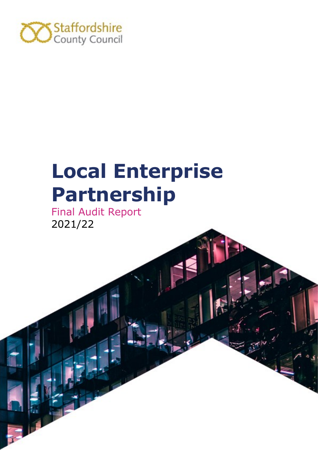

# **Local Enterprise Partnership**

Final Audit Report 2021/22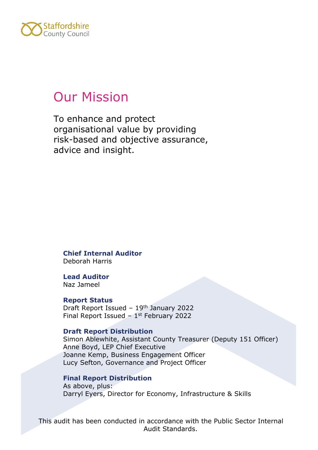

## Our Mission

To enhance and protect organisational value by providing risk-based and objective assurance, advice and insight.

**Chief Internal Auditor** Deborah Harris

**Lead Auditor** Naz Jameel

#### **Report Status**

Draft Report Issued - 19<sup>th</sup> January 2022 Final Report Issued  $-1$ <sup>st</sup> February 2022

#### **Draft Report Distribution**

Simon Ablewhite, Assistant County Treasurer (Deputy 151 Officer) Anne Boyd, LEP Chief Executive Joanne Kemp, Business Engagement Officer Lucy Sefton, Governance and Project Officer

#### **Final Report Distribution**

As above, plus: Darryl Eyers, Director for Economy, Infrastructure & Skills

This audit has been conducted in accordance with the Public Sector Internal Audit Standards.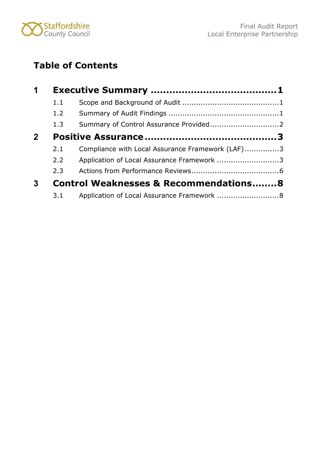

## **Table of Contents**

| 1            |     |                                                  |  |
|--------------|-----|--------------------------------------------------|--|
|              | 1.1 |                                                  |  |
|              | 1.2 |                                                  |  |
|              | 1.3 |                                                  |  |
| $\mathbf{2}$ |     |                                                  |  |
|              | 2.1 | Compliance with Local Assurance Framework (LAF)3 |  |
|              | 2.2 | Application of Local Assurance Framework 3       |  |
|              | 2.3 |                                                  |  |
| $\mathbf{3}$ |     | <b>Control Weaknesses &amp; Recommendations8</b> |  |
|              | 3.1 | Application of Local Assurance Framework 8       |  |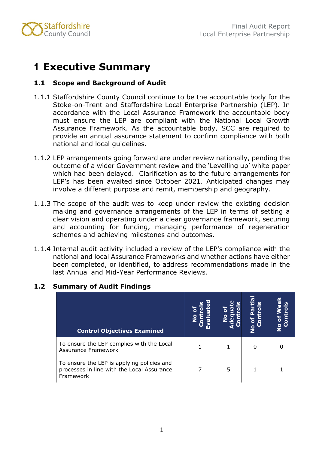

## <span id="page-3-0"></span>**1 Executive Summary**

#### <span id="page-3-1"></span>**1.1 Scope and Background of Audit**

- 1.1.1 Staffordshire County Council continue to be the accountable body for the Stoke-on-Trent and Staffordshire Local Enterprise Partnership (LEP). In accordance with the Local Assurance Framework the accountable body must ensure the LEP are compliant with the National Local Growth Assurance Framework. As the accountable body, SCC are required to provide an annual assurance statement to confirm compliance with both national and local guidelines.
- 1.1.2 LEP arrangements going forward are under review nationally, pending the outcome of a wider Government review and the 'Levelling up' white paper which had been delayed. Clarification as to the future arrangements for LEP's has been awaited since October 2021. Anticipated changes may involve a different purpose and remit, membership and geography.
- 1.1.3 The scope of the audit was to keep under review the existing decision making and governance arrangements of the LEP in terms of setting a clear vision and operating under a clear governance framework, securing and accounting for funding, managing performance of regeneration schemes and achieving milestones and outcomes.
- 1.1.4 Internal audit activity included a review of the LEP's compliance with the national and local Assurance Frameworks and whether actions have either been completed, or identified, to address recommendations made in the last Annual and Mid-Year Performance Reviews.

| <b>Control Objectives Examined</b>                                                                    |   | Ō | ලී<br>-<br>6<br>$\bullet$ |
|-------------------------------------------------------------------------------------------------------|---|---|---------------------------|
| To ensure the LEP complies with the Local<br><b>Assurance Framework</b>                               |   |   |                           |
| To ensure the LEP is applying policies and<br>processes in line with the Local Assurance<br>Framework | 5 |   |                           |

#### <span id="page-3-2"></span>**1.2 Summary of Audit Findings**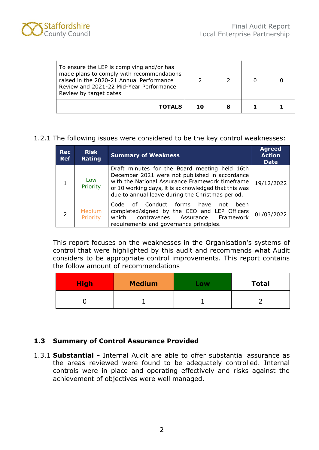

| To ensure the LEP is complying and/or has<br>made plans to comply with recommendations<br>raised in the 2020-21 Annual Performance<br>Review and 2021-22 Mid-Year Performance<br>Review by target dates |     |   |  |
|---------------------------------------------------------------------------------------------------------------------------------------------------------------------------------------------------------|-----|---|--|
| <b>TOTALS</b>                                                                                                                                                                                           | 1 מ | 8 |  |

1.2.1 The following issues were considered to be the key control weaknesses:

| <b>Rec</b><br><b>Ref</b> | <b>Risk</b><br>Rating | <b>Summary of Weakness</b>                                                                                                                                                                                                                                     | <b>Agreed</b><br><b>Action</b><br><b>Date</b> |
|--------------------------|-----------------------|----------------------------------------------------------------------------------------------------------------------------------------------------------------------------------------------------------------------------------------------------------------|-----------------------------------------------|
|                          | Low<br>Priority       | Draft minutes for the Board meeting held 16th<br>December 2021 were not published in accordance<br>with the National Assurance Framework timeframe<br>of 10 working days, it is acknowledged that this was<br>due to annual leave during the Christmas period. | 19/12/2022                                    |
| $\overline{2}$           | Medium<br>Priority    | Conduct forms<br>Code<br>of<br>have<br>been<br>not<br>completed/signed by the CEO and LEP Officers<br>Framework<br>which<br>contravenes Assurance<br>requirements and governance principles.                                                                   | 01/03/2022                                    |

This report focuses on the weaknesses in the Organisation's systems of control that were highlighted by this audit and recommends what Audit considers to be appropriate control improvements. This report contains the follow amount of recommendations

| <b>High</b> | <b>Medium</b> | .ow | <b>Total</b> |
|-------------|---------------|-----|--------------|
|             |               |     |              |

#### <span id="page-4-0"></span>**1.3 Summary of Control Assurance Provided**

1.3.1 **Substantial -** Internal Audit are able to offer substantial assurance as the areas reviewed were found to be adequately controlled. Internal controls were in place and operating effectively and risks against the achievement of objectives were well managed.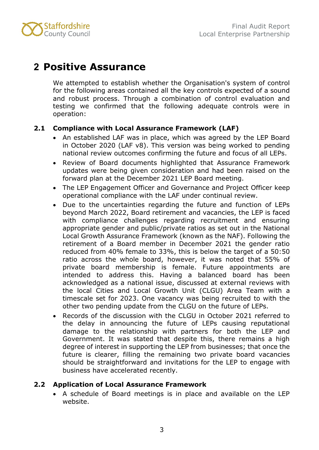

## <span id="page-5-0"></span>**2 Positive Assurance**

We attempted to establish whether the Organisation's system of control for the following areas contained all the key controls expected of a sound and robust process. Through a combination of control evaluation and testing we confirmed that the following adequate controls were in operation:

#### <span id="page-5-1"></span>**2.1 Compliance with Local Assurance Framework (LAF)**

- An established LAF was in place, which was agreed by the LEP Board in October 2020 (LAF v8). This version was being worked to pending national review outcomes confirming the future and focus of all LEPs.
- Review of Board documents highlighted that Assurance Framework updates were being given consideration and had been raised on the forward plan at the December 2021 LEP Board meeting.
- The LEP Engagement Officer and Governance and Project Officer keep operational compliance with the LAF under continual review.
- Due to the uncertainties regarding the future and function of LEPs beyond March 2022, Board retirement and vacancies, the LEP is faced with compliance challenges regarding recruitment and ensuring appropriate gender and public/private ratios as set out in the National Local Growth Assurance Framework (known as the NAF). Following the retirement of a Board member in December 2021 the gender ratio reduced from 40% female to 33%, this is below the target of a 50:50 ratio across the whole board, however, it was noted that 55% of private board membership is female. Future appointments are intended to address this. Having a balanced board has been acknowledged as a national issue, discussed at external reviews with the local Cities and Local Growth Unit (CLGU) Area Team with a timescale set for 2023. One vacancy was being recruited to with the other two pending update from the CLGU on the future of LEPs.
- Records of the discussion with the CLGU in October 2021 referred to the delay in announcing the future of LEPs causing reputational damage to the relationship with partners for both the LEP and Government. It was stated that despite this, there remains a high degree of interest in supporting the LEP from businesses; that once the future is clearer, filling the remaining two private board vacancies should be straightforward and invitations for the LEP to engage with business have accelerated recently.

#### <span id="page-5-2"></span>**2.2 Application of Local Assurance Framework**

• A schedule of Board meetings is in place and available on the LEP website.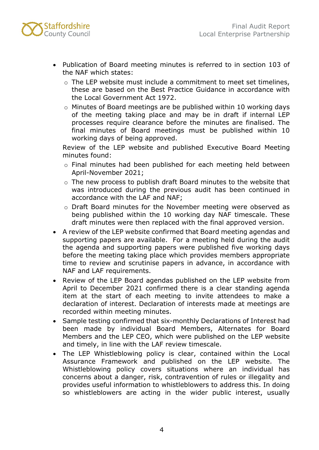

- Publication of Board meeting minutes is referred to in section 103 of the NAF which states:
	- o The LEP website must include a commitment to meet set timelines, these are based on the Best Practice Guidance in accordance with the Local Government Act 1972.
	- o Minutes of Board meetings are be published within 10 working days of the meeting taking place and may be in draft if internal LEP processes require clearance before the minutes are finalised. The final minutes of Board meetings must be published within 10 working days of being approved.

Review of the LEP website and published Executive Board Meeting minutes found:

- o Final minutes had been published for each meeting held between April-November 2021;
- o The new process to publish draft Board minutes to the website that was introduced during the previous audit has been continued in accordance with the LAF and NAF;
- o Draft Board minutes for the November meeting were observed as being published within the 10 working day NAF timescale. These draft minutes were then replaced with the final approved version.
- A review of the LEP website confirmed that Board meeting agendas and supporting papers are available. For a meeting held during the audit the agenda and supporting papers were published five working days before the meeting taking place which provides members appropriate time to review and scrutinise papers in advance, in accordance with NAF and LAF requirements.
- Review of the LEP Board agendas published on the LEP website from April to December 2021 confirmed there is a clear standing agenda item at the start of each meeting to invite attendees to make a declaration of interest. Declaration of interests made at meetings are recorded within meeting minutes.
- Sample testing confirmed that six-monthly Declarations of Interest had been made by individual Board Members, Alternates for Board Members and the LEP CEO, which were published on the LEP website and timely, in line with the LAF review timescale.
- The LEP Whistleblowing policy is clear, contained within the Local Assurance Framework and published on the LEP website. The Whistleblowing policy covers situations where an individual has concerns about a danger, risk, contravention of rules or illegality and provides useful information to whistleblowers to address this. In doing so whistleblowers are acting in the wider public interest, usually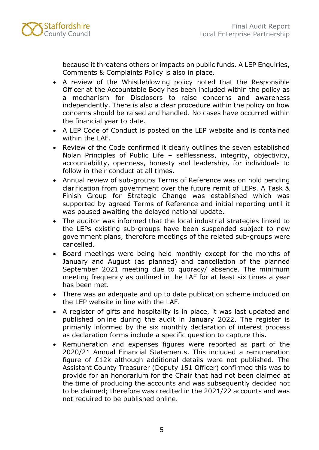

because it threatens others or impacts on public funds. A LEP Enquiries, Comments & Complaints Policy is also in place.

- A review of the Whistleblowing policy noted that the Responsible Officer at the Accountable Body has been included within the policy as a mechanism for Disclosers to raise concerns and awareness independently. There is also a clear procedure within the policy on how concerns should be raised and handled. No cases have occurred within the financial year to date.
- A LEP Code of Conduct is posted on the LEP website and is contained within the LAF.
- Review of the Code confirmed it clearly outlines the seven established Nolan Principles of Public Life – selflessness, integrity, objectivity, accountability, openness, honesty and leadership, for individuals to follow in their conduct at all times.
- Annual review of sub-groups Terms of Reference was on hold pending clarification from government over the future remit of LEPs. A Task & Finish Group for Strategic Change was established which was supported by agreed Terms of Reference and initial reporting until it was paused awaiting the delayed national update.
- The auditor was informed that the local industrial strategies linked to the LEPs existing sub-groups have been suspended subject to new government plans, therefore meetings of the related sub-groups were cancelled.
- Board meetings were being held monthly except for the months of January and August (as planned) and cancellation of the planned September 2021 meeting due to quoracy/ absence. The minimum meeting frequency as outlined in the LAF for at least six times a year has been met.
- There was an adequate and up to date publication scheme included on the LEP website in line with the LAF.
- A register of gifts and hospitality is in place, it was last updated and published online during the audit in January 2022. The register is primarily informed by the six monthly declaration of interest process as declaration forms include a specific question to capture this.
- Remuneration and expenses figures were reported as part of the 2020/21 Annual Financial Statements. This included a remuneration figure of £12k although additional details were not published. The Assistant County Treasurer (Deputy 151 Officer) confirmed this was to provide for an honorarium for the Chair that had not been claimed at the time of producing the accounts and was subsequently decided not to be claimed; therefore was credited in the 2021/22 accounts and was not required to be published online.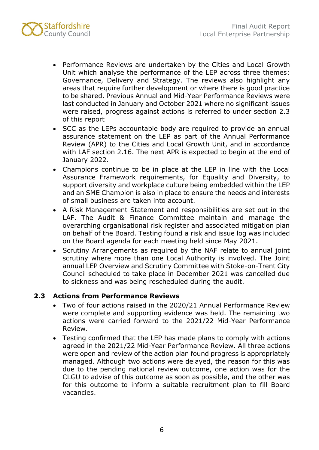

- Performance Reviews are undertaken by the Cities and Local Growth Unit which analyse the performance of the LEP across three themes: Governance, Delivery and Strategy. The reviews also highlight any areas that require further development or where there is good practice to be shared. Previous Annual and Mid-Year Performance Reviews were last conducted in January and October 2021 where no significant issues were raised, progress against actions is referred to under section 2.3 of this report
- SCC as the LEPs accountable body are required to provide an annual assurance statement on the LEP as part of the Annual Performance Review (APR) to the Cities and Local Growth Unit, and in accordance with LAF section 2.16. The next APR is expected to begin at the end of January 2022.
- Champions continue to be in place at the LEP in line with the Local Assurance Framework requirements, for Equality and Diversity, to support diversity and workplace culture being embedded within the LEP and an SME Champion is also in place to ensure the needs and interests of small business are taken into account.
- A Risk Management Statement and responsibilities are set out in the LAF. The Audit & Finance Committee maintain and manage the overarching organisational risk register and associated mitigation plan on behalf of the Board. Testing found a risk and issue log was included on the Board agenda for each meeting held since May 2021.
- Scrutiny Arrangements as required by the NAF relate to annual joint scrutiny where more than one Local Authority is involved. The Joint annual LEP Overview and Scrutiny Committee with Stoke-on-Trent City Council scheduled to take place in December 2021 was cancelled due to sickness and was being rescheduled during the audit.

#### <span id="page-8-0"></span>**2.3 Actions from Performance Reviews**

- Two of four actions raised in the 2020/21 Annual Performance Review were complete and supporting evidence was held. The remaining two actions were carried forward to the 2021/22 Mid-Year Performance Review.
- Testing confirmed that the LEP has made plans to comply with actions agreed in the 2021/22 Mid-Year Performance Review. All three actions were open and review of the action plan found progress is appropriately managed. Although two actions were delayed, the reason for this was due to the pending national review outcome, one action was for the CLGU to advise of this outcome as soon as possible, and the other was for this outcome to inform a suitable recruitment plan to fill Board vacancies.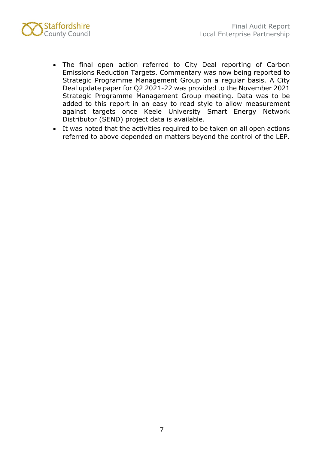

- The final open action referred to City Deal reporting of Carbon Emissions Reduction Targets. Commentary was now being reported to Strategic Programme Management Group on a regular basis. A City Deal update paper for Q2 2021-22 was provided to the November 2021 Strategic Programme Management Group meeting. Data was to be added to this report in an easy to read style to allow measurement against targets once Keele University Smart Energy Network Distributor (SEND) project data is available.
- It was noted that the activities required to be taken on all open actions referred to above depended on matters beyond the control of the LEP.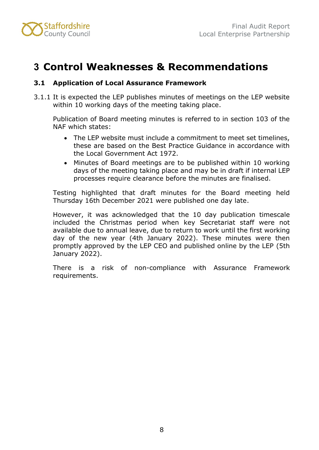

## <span id="page-10-0"></span>**3 Control Weaknesses & Recommendations**

#### <span id="page-10-1"></span>**3.1 Application of Local Assurance Framework**

3.1.1 It is expected the LEP publishes minutes of meetings on the LEP website within 10 working days of the meeting taking place.

Publication of Board meeting minutes is referred to in section 103 of the NAF which states:

- The LEP website must include a commitment to meet set timelines, these are based on the Best Practice Guidance in accordance with the Local Government Act 1972.
- Minutes of Board meetings are to be published within 10 working days of the meeting taking place and may be in draft if internal LEP processes require clearance before the minutes are finalised.

Testing highlighted that draft minutes for the Board meeting held Thursday 16th December 2021 were published one day late.

However, it was acknowledged that the 10 day publication timescale included the Christmas period when key Secretariat staff were not available due to annual leave, due to return to work until the first working day of the new year (4th January 2022). These minutes were then promptly approved by the LEP CEO and published online by the LEP (5th January 2022).

There is a risk of non-compliance with Assurance Framework requirements.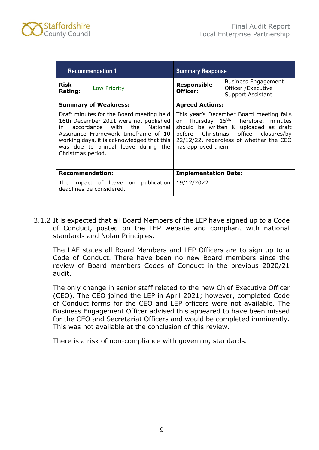

|                         | <b>Recommendation 1</b>                                                                                                                                                                                                                      | <b>Summary Response</b>                                                                                                                                                                                                                       |  |  |
|-------------------------|----------------------------------------------------------------------------------------------------------------------------------------------------------------------------------------------------------------------------------------------|-----------------------------------------------------------------------------------------------------------------------------------------------------------------------------------------------------------------------------------------------|--|--|
| <b>Risk</b><br>Rating:  | Low Priority                                                                                                                                                                                                                                 | <b>Business Engagement</b><br><b>Responsible</b><br>Officer / Executive<br>Officer:<br>Support Assistant                                                                                                                                      |  |  |
|                         | <b>Summary of Weakness:</b>                                                                                                                                                                                                                  | <b>Agreed Actions:</b>                                                                                                                                                                                                                        |  |  |
| in<br>Christmas period. | Draft minutes for the Board meeting held<br>16th December 2021 were not published<br>accordance with the National<br>Assurance Framework timeframe of 10<br>working days, it is acknowledged that this<br>was due to annual leave during the | This year's December Board meeting falls<br>on Thursday 15 <sup>th.</sup> Therefore, minutes<br>should be written & uploaded as draft<br>before Christmas office closures/by<br>22/12/22, regardless of whether the CEO<br>has approved them. |  |  |
| <b>Recommendation:</b>  |                                                                                                                                                                                                                                              | <b>Implementation Date:</b>                                                                                                                                                                                                                   |  |  |
|                         | The impact of leave on publication<br>deadlines be considered.                                                                                                                                                                               | 19/12/2022                                                                                                                                                                                                                                    |  |  |

3.1.2 It is expected that all Board Members of the LEP have signed up to a Code of Conduct, posted on the LEP website and compliant with national standards and Nolan Principles.

The LAF states all Board Members and LEP Officers are to sign up to a Code of Conduct. There have been no new Board members since the review of Board members Codes of Conduct in the previous 2020/21 audit.

The only change in senior staff related to the new Chief Executive Officer (CEO). The CEO joined the LEP in April 2021; however, completed Code of Conduct forms for the CEO and LEP officers were not available. The Business Engagement Officer advised this appeared to have been missed for the CEO and Secretariat Officers and would be completed imminently. This was not available at the conclusion of this review.

There is a risk of non-compliance with governing standards.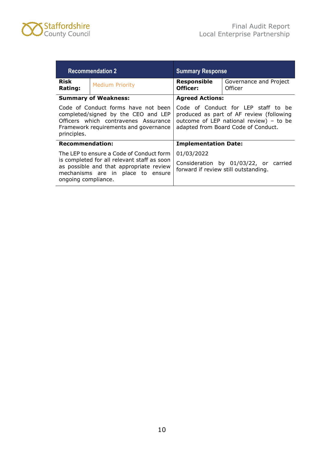

| <b>Recommendation 2</b> |                                                                                                                                                                         | <b>Summary Response</b>                                                                                                                                           |                                   |  |
|-------------------------|-------------------------------------------------------------------------------------------------------------------------------------------------------------------------|-------------------------------------------------------------------------------------------------------------------------------------------------------------------|-----------------------------------|--|
| Risk<br><b>Rating:</b>  | <b>Medium Priority</b>                                                                                                                                                  | <b>Responsible</b><br>Officer:                                                                                                                                    | Governance and Project<br>Officer |  |
|                         | <b>Summary of Weakness:</b>                                                                                                                                             | <b>Agreed Actions:</b>                                                                                                                                            |                                   |  |
| principles.             | Code of Conduct forms have not been<br>completed/signed by the CEO and LEP<br>Officers which contravenes Assurance<br>Framework requirements and governance             | Code of Conduct for LEP staff to be<br>produced as part of AF review (following<br>outcome of LEP national review) - to be<br>adapted from Board Code of Conduct. |                                   |  |
| <b>Recommendation:</b>  |                                                                                                                                                                         | <b>Implementation Date:</b>                                                                                                                                       |                                   |  |
| ongoing compliance.     | The LEP to ensure a Code of Conduct form<br>is completed for all relevant staff as soon<br>as possible and that appropriate review<br>mechanisms are in place to ensure | 01/03/2022<br>Consideration by 01/03/22, or carried<br>forward if review still outstanding.                                                                       |                                   |  |